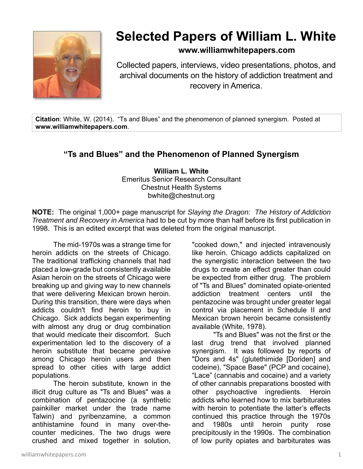

## **Selected Papers of William L. White**

## **www.williamwhitepapers.com**

Collected papers, interviews, video presentations, photos, and archival documents on the history of addiction treatment and recovery in America.

**Citation**: White, W. (2014). "Ts and Blues" and the phenomenon of planned synergism. Posted at **www.williamwhitepapers.com**.

## **"Ts and Blues" and the Phenomenon of Planned Synergism**

**William L. White**  Emeritus Senior Research Consultant Chestnut Health Systems bwhite@chestnut.org

**NOTE:** The original 1,000+ page manuscript for *Slaying the Dragon: The History of Addiction Treatment and Recovery in America* had to be cut by more than half before its first publication in 1998. This is an edited excerpt that was deleted from the original manuscript.

The mid-1970s was a strange time for heroin addicts on the streets of Chicago. The traditional trafficking channels that had placed a low-grade but consistently available Asian heroin on the streets of Chicago were breaking up and giving way to new channels that were delivering Mexican brown heroin. During this transition, there were days when addicts couldn't find heroin to buy in Chicago. Sick addicts began experimenting with almost any drug or drug combination that would medicate their discomfort. Such experimentation led to the discovery of a heroin substitute that became pervasive among Chicago heroin users and then spread to other cities with large addict populations.

The heroin substitute, known in the illicit drug culture as "Ts and Blues" was a combination of pentazocine (a synthetic painkiller market under the trade name Talwin) and pyribenzamine, a common antihistamine found in many over-thecounter medicines. The two drugs were crushed and mixed together in solution,

"cooked down," and injected intravenously like heroin. Chicago addicts capitalized on the synergistic interaction between the two drugs to create an effect greater than could be expected from either drug. The problem of "Ts and Blues" dominated opiate-oriented addiction treatment centers until the pentazocine was brought under greater legal control via placement in Schedule II and Mexican brown heroin became consistently available (White, 1978).

"Ts and Blues" was not the first or the last drug trend that involved planned synergism. It was followed by reports of "Dors and 4s" (glutethimide [Doriden] and codeine), "Space Base" (PCP and cocaine), "Lace" (cannabis and cocaine) and a variety of other cannabis preparations boosted with other psychoactive ingredients. Heroin addicts who learned how to mix barbiturates with heroin to potentiate the latter's effects continued this practice through the 1970s and 1980s until heroin purity rose precipitously in the 1990s. The combination of low purity opiates and barbiturates was